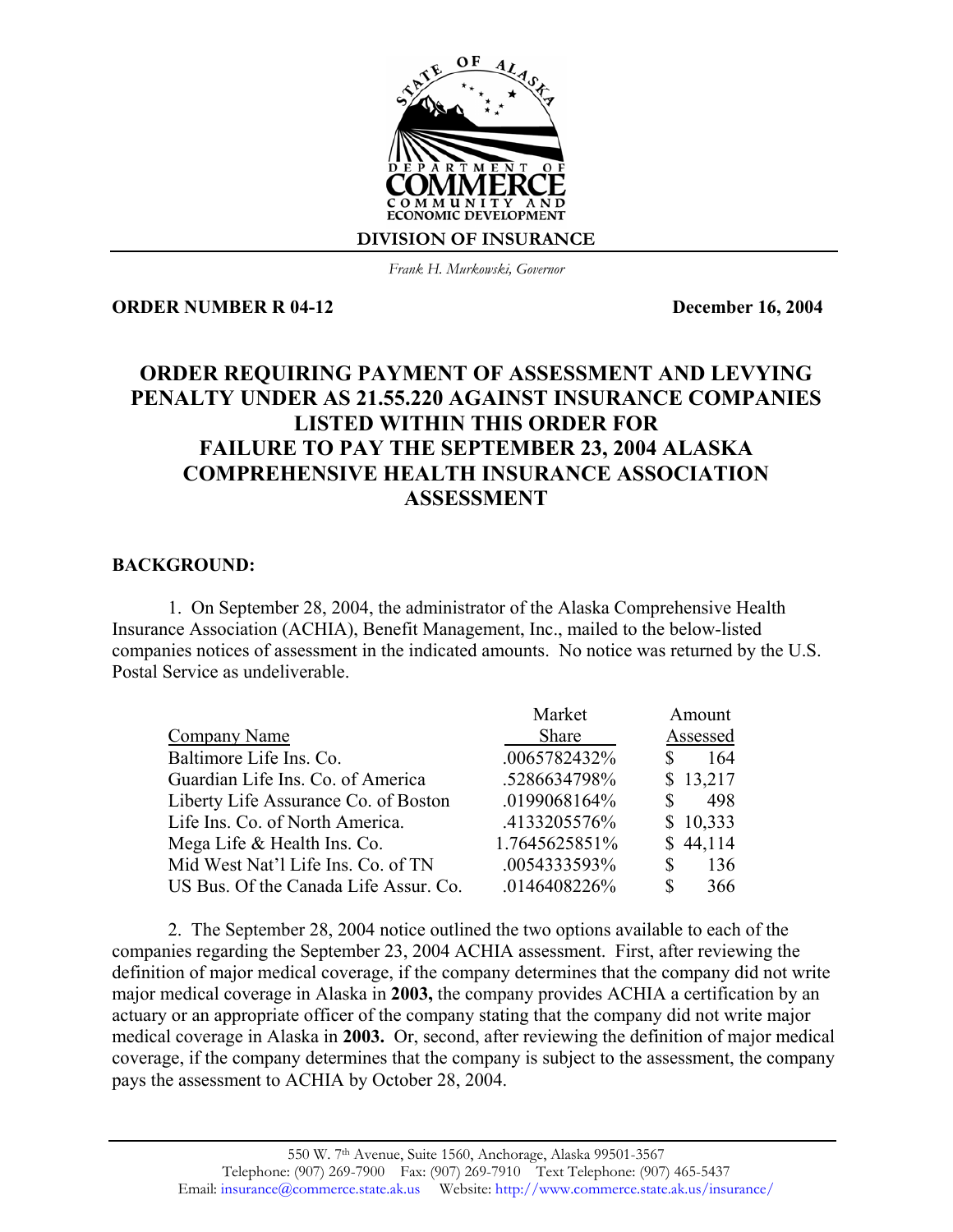

*Frank H. Murkowski, Governor*

**ORDER NUMBER R 04-12 December 16, 2004** 

## **ORDER REQUIRING PAYMENT OF ASSESSMENT AND LEVYING PENALTY UNDER AS 21.55.220 AGAINST INSURANCE COMPANIES LISTED WITHIN THIS ORDER FOR FAILURE TO PAY THE SEPTEMBER 23, 2004 ALASKA COMPREHENSIVE HEALTH INSURANCE ASSOCIATION ASSESSMENT**

## **BACKGROUND:**

1. On September 28, 2004, the administrator of the Alaska Comprehensive Health Insurance Association (ACHIA), Benefit Management, Inc., mailed to the below-listed companies notices of assessment in the indicated amounts. No notice was returned by the U.S. Postal Service as undeliverable.

| Market        | Amount    |
|---------------|-----------|
| Share         | Assessed  |
| .0065782432%  | 164       |
| .5286634798%  | \$13,217  |
| .0199068164%  | 498<br>\$ |
| .4133205576%  | \$10,333  |
| 1.7645625851% | \$44,114  |
| .0054333593%  | 136<br>\$ |
| .0146408226%  | S<br>366  |
|               |           |

2. The September 28, 2004 notice outlined the two options available to each of the companies regarding the September 23, 2004 ACHIA assessment. First, after reviewing the definition of major medical coverage, if the company determines that the company did not write major medical coverage in Alaska in **2003,** the company provides ACHIA a certification by an actuary or an appropriate officer of the company stating that the company did not write major medical coverage in Alaska in **2003.** Or, second, after reviewing the definition of major medical coverage, if the company determines that the company is subject to the assessment, the company pays the assessment to ACHIA by October 28, 2004.